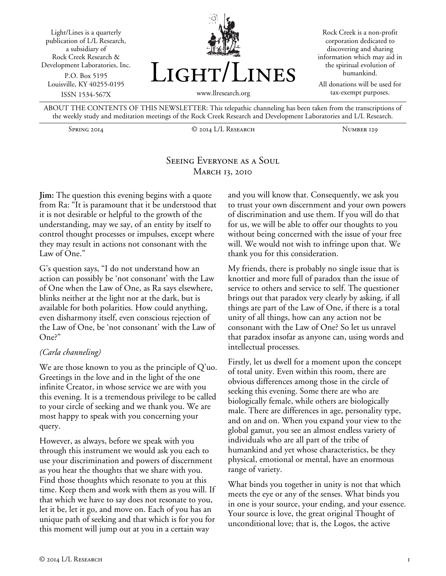



Rock Creek is a non-profit corporation dedicated to discovering and sharing information which may aid in the spiritual evolution of humankind.

All donations will be used for tax-exempt purposes.

ABOUT THE CONTENTS OF THIS NEWSLETTER: This telepathic channeling has been taken from the transcriptions of the weekly study and meditation meetings of the Rock Creek Research and Development Laboratories and L/L Research.

Spring 2014 © 2014 L/L Research Number 129

# Seeing Everyone as a Soul **MARCH 13, 2010**

**Jim:** The question this evening begins with a quote from Ra: "It is paramount that it be understood that it is not desirable or helpful to the growth of the understanding, may we say, of an entity by itself to control thought processes or impulses, except where they may result in actions not consonant with the Law of One."

G's question says, "I do not understand how an action can possibly be 'not consonant' with the Law of One when the Law of One, as Ra says elsewhere, blinks neither at the light nor at the dark, but is available for both polarities. How could anything, even disharmony itself, even conscious rejection of the Law of One, be 'not consonant' with the Law of One?"

#### *(Carla channeling)*

We are those known to you as the principle of Q'uo. Greetings in the love and in the light of the one infinite Creator, in whose service we are with you this evening. It is a tremendous privilege to be called to your circle of seeking and we thank you. We are most happy to speak with you concerning your query.

However, as always, before we speak with you through this instrument we would ask you each to use your discrimination and powers of discernment as you hear the thoughts that we share with you. Find those thoughts which resonate to you at this time. Keep them and work with them as you will. If that which we have to say does not resonate to you, let it be, let it go, and move on. Each of you has an unique path of seeking and that which is for you for this moment will jump out at you in a certain way

and you will know that. Consequently, we ask you to trust your own discernment and your own powers of discrimination and use them. If you will do that for us, we will be able to offer our thoughts to you without being concerned with the issue of your free will. We would not wish to infringe upon that. We thank you for this consideration.

My friends, there is probably no single issue that is knottier and more full of paradox than the issue of service to others and service to self. The questioner brings out that paradox very clearly by asking, if all things are part of the Law of One, if there is a total unity of all things, how can any action not be consonant with the Law of One? So let us unravel that paradox insofar as anyone can, using words and intellectual processes.

Firstly, let us dwell for a moment upon the concept of total unity. Even within this room, there are obvious differences among those in the circle of seeking this evening. Some there are who are biologically female, while others are biologically male. There are differences in age, personality type, and on and on. When you expand your view to the global gamut, you see an almost endless variety of individuals who are all part of the tribe of humankind and yet whose characteristics, be they physical, emotional or mental, have an enormous range of variety.

What binds you together in unity is not that which meets the eye or any of the senses. What binds you in one is your source, your ending, and your essence. Your source is love, the great original Thought of unconditional love; that is, the Logos, the active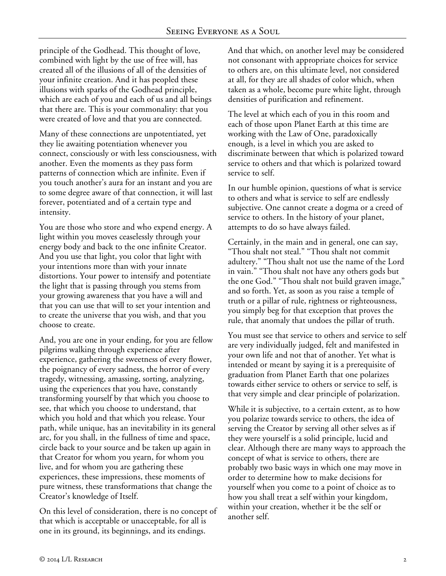principle of the Godhead. This thought of love, combined with light by the use of free will, has created all of the illusions of all of the densities of your infinite creation. And it has peopled these illusions with sparks of the Godhead principle, which are each of you and each of us and all beings that there are. This is your commonality: that you were created of love and that you are connected.

Many of these connections are unpotentiated, yet they lie awaiting potentiation whenever you connect, consciously or with less consciousness, with another. Even the moments as they pass form patterns of connection which are infinite. Even if you touch another's aura for an instant and you are to some degree aware of that connection, it will last forever, potentiated and of a certain type and intensity.

You are those who store and who expend energy. A light within you moves ceaselessly through your energy body and back to the one infinite Creator. And you use that light, you color that light with your intentions more than with your innate distortions. Your power to intensify and potentiate the light that is passing through you stems from your growing awareness that you have a will and that you can use that will to set your intention and to create the universe that you wish, and that you choose to create.

And, you are one in your ending, for you are fellow pilgrims walking through experience after experience, gathering the sweetness of every flower, the poignancy of every sadness, the horror of every tragedy, witnessing, amassing, sorting, analyzing, using the experiences that you have, constantly transforming yourself by that which you choose to see, that which you choose to understand, that which you hold and that which you release. Your path, while unique, has an inevitability in its general arc, for you shall, in the fullness of time and space, circle back to your source and be taken up again in that Creator for whom you yearn, for whom you live, and for whom you are gathering these experiences, these impressions, these moments of pure witness, these transformations that change the Creator's knowledge of Itself.

On this level of consideration, there is no concept of that which is acceptable or unacceptable, for all is one in its ground, its beginnings, and its endings.

And that which, on another level may be considered not consonant with appropriate choices for service to others are, on this ultimate level, not considered at all, for they are all shades of color which, when taken as a whole, become pure white light, through densities of purification and refinement.

The level at which each of you in this room and each of those upon Planet Earth at this time are working with the Law of One, paradoxically enough, is a level in which you are asked to discriminate between that which is polarized toward service to others and that which is polarized toward service to self.

In our humble opinion, questions of what is service to others and what is service to self are endlessly subjective. One cannot create a dogma or a creed of service to others. In the history of your planet, attempts to do so have always failed.

Certainly, in the main and in general, one can say, "Thou shalt not steal." "Thou shalt not commit adultery." "Thou shalt not use the name of the Lord in vain." "Thou shalt not have any others gods but the one God." "Thou shalt not build graven image," and so forth. Yet, as soon as you raise a temple of truth or a pillar of rule, rightness or righteousness, you simply beg for that exception that proves the rule, that anomaly that undoes the pillar of truth.

You must see that service to others and service to self are very individually judged, felt and manifested in your own life and not that of another. Yet what is intended or meant by saying it is a prerequisite of graduation from Planet Earth that one polarizes towards either service to others or service to self, is that very simple and clear principle of polarization.

While it is subjective, to a certain extent, as to how you polarize towards service to others, the idea of serving the Creator by serving all other selves as if they were yourself is a solid principle, lucid and clear. Although there are many ways to approach the concept of what is service to others, there are probably two basic ways in which one may move in order to determine how to make decisions for yourself when you come to a point of choice as to how you shall treat a self within your kingdom, within your creation, whether it be the self or another self.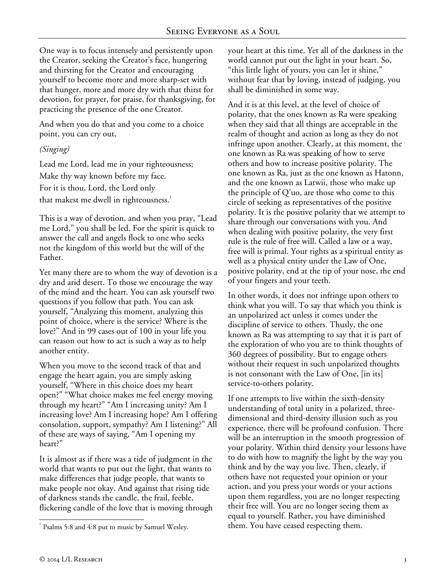One way is to focus intensely and persistently upon the Creator, seeking the Creator's face, hungering and thirsting for the Creator and encouraging yourself to become more and more sharp-set with that hunger, more and more dry with that thirst for devotion, for prayer, for praise, for thanksgiving, for practicing the presence of the one Creator.

And when you do that and you come to a choice point, you can cry out,

# *(Singing)*

Lead me Lord, lead me in your righteousness; Make thy way known before my face. For it is thou, Lord, the Lord only that makest me dwell in righteousness.<sup>1</sup>

This is a way of devotion, and when you pray, "Lead me Lord," you shall be led. For the spirit is quick to answer the call and angels flock to one who seeks not the kingdom of this world but the will of the Father.

Yet many there are to whom the way of devotion is a dry and arid desert. To those we encourage the way of the mind and the heart. You can ask yourself two questions if you follow that path. You can ask yourself, "Analyzing this moment, analyzing this point of choice, where is the service? Where is the love?" And in 99 cases out of 100 in your life you can reason out how to act is such a way as to help another entity.

When you move to the second track of that and engage the heart again, you are simply asking yourself, "Where in this choice does my heart open?" "What choice makes me feel energy moving through my heart?" "Am I increasing unity? Am I increasing love? Am I increasing hope? Am I offering consolation, support, sympathy? Am I listening?" All of these are ways of saying, "Am I opening my heart?"

It is almost as if there was a tide of judgment in the world that wants to put out the light, that wants to make differences that judge people, that wants to make people not okay. And against that rising tide of darkness stands the candle, the frail, feeble, flickering candle of the love that is moving through your heart at this time. Yet all of the darkness in the world cannot put out the light in your heart. So, "this little light of yours, you can let it shine," without fear that by loving, instead of judging, you shall be diminished in some way.

And it is at this level, at the level of choice of polarity, that the ones known as Ra were speaking when they said that all things are acceptable in the realm of thought and action as long as they do not infringe upon another. Clearly, at this moment, the one known as Ra was speaking of how to serve others and how to increase positive polarity. The one known as Ra, just as the one known as Hatonn, and the one known as Latwii, those who make up the principle of Q'uo, are those who come to this circle of seeking as representatives of the positive polarity. It is the positive polarity that we attempt to share through our conversations with you. And when dealing with positive polarity, the very first rule is the rule of free will. Called a law or a way, free will is primal. Your rights as a spiritual entity as well as a physical entity under the Law of One, positive polarity, end at the tip of your nose, the end of your fingers and your teeth.

In other words, it does not infringe upon others to think what you will. To say that which you think is an unpolarized act unless it comes under the discipline of service to others. Thusly, the one known as Ra was attempting to say that it is part of the exploration of who you are to think thoughts of 360 degrees of possibility. But to engage others without their request in such unpolarized thoughts is not consonant with the Law of One, [in its] service-to-others polarity.

If one attempts to live within the sixth-density understanding of total unity in a polarized, threedimensional and third-density illusion such as you experience, there will be profound confusion. There will be an interruption in the smooth progression of your polarity. Within third density your lessons have to do with how to magnify the light by the way you think and by the way you live. Then, clearly, if others have not requested your opinion or your action, and you press your words or your actions upon them regardless, you are no longer respecting their free will. You are no longer seeing them as equal to yourself. Rather, you have diminished them. You have ceased respecting them.

<sup>-</sup><sup>1</sup> Psalms 5:8 and 4:8 put to music by Samuel Wesley.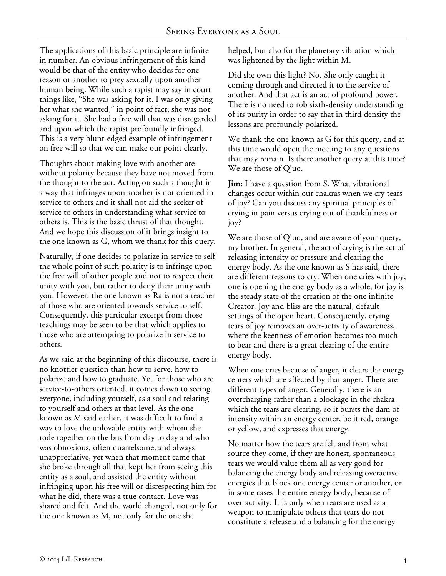The applications of this basic principle are infinite in number. An obvious infringement of this kind would be that of the entity who decides for one reason or another to prey sexually upon another human being. While such a rapist may say in court things like, "She was asking for it. I was only giving her what she wanted," in point of fact, she was not asking for it. She had a free will that was disregarded and upon which the rapist profoundly infringed. This is a very blunt-edged example of infringement on free will so that we can make our point clearly.

Thoughts about making love with another are without polarity because they have not moved from the thought to the act. Acting on such a thought in a way that infringes upon another is not oriented in service to others and it shall not aid the seeker of service to others in understanding what service to others is. This is the basic thrust of that thought. And we hope this discussion of it brings insight to the one known as G, whom we thank for this query.

Naturally, if one decides to polarize in service to self, the whole point of such polarity is to infringe upon the free will of other people and not to respect their unity with you, but rather to deny their unity with you. However, the one known as Ra is not a teacher of those who are oriented towards service to self. Consequently, this particular excerpt from those teachings may be seen to be that which applies to those who are attempting to polarize in service to others.

As we said at the beginning of this discourse, there is no knottier question than how to serve, how to polarize and how to graduate. Yet for those who are service-to-others oriented, it comes down to seeing everyone, including yourself, as a soul and relating to yourself and others at that level. As the one known as M said earlier, it was difficult to find a way to love the unlovable entity with whom she rode together on the bus from day to day and who was obnoxious, often quarrelsome, and always unappreciative, yet when that moment came that she broke through all that kept her from seeing this entity as a soul, and assisted the entity without infringing upon his free will or disrespecting him for what he did, there was a true contact. Love was shared and felt. And the world changed, not only for the one known as M, not only for the one she

helped, but also for the planetary vibration which was lightened by the light within M.

Did she own this light? No. She only caught it coming through and directed it to the service of another. And that act is an act of profound power. There is no need to rob sixth-density understanding of its purity in order to say that in third density the lessons are profoundly polarized.

We thank the one known as G for this query, and at this time would open the meeting to any questions that may remain. Is there another query at this time? We are those of Q'uo.

**Jim:** I have a question from S. What vibrational changes occur within our chakras when we cry tears of joy? Can you discuss any spiritual principles of crying in pain versus crying out of thankfulness or joy?

We are those of Q'uo, and are aware of your query, my brother. In general, the act of crying is the act of releasing intensity or pressure and clearing the energy body. As the one known as S has said, there are different reasons to cry. When one cries with joy, one is opening the energy body as a whole, for joy is the steady state of the creation of the one infinite Creator. Joy and bliss are the natural, default settings of the open heart. Consequently, crying tears of joy removes an over-activity of awareness, where the keenness of emotion becomes too much to bear and there is a great clearing of the entire energy body.

When one cries because of anger, it clears the energy centers which are affected by that anger. There are different types of anger. Generally, there is an overcharging rather than a blockage in the chakra which the tears are clearing, so it bursts the dam of intensity within an energy center, be it red, orange or yellow, and expresses that energy.

No matter how the tears are felt and from what source they come, if they are honest, spontaneous tears we would value them all as very good for balancing the energy body and releasing overactive energies that block one energy center or another, or in some cases the entire energy body, because of over-activity. It is only when tears are used as a weapon to manipulate others that tears do not constitute a release and a balancing for the energy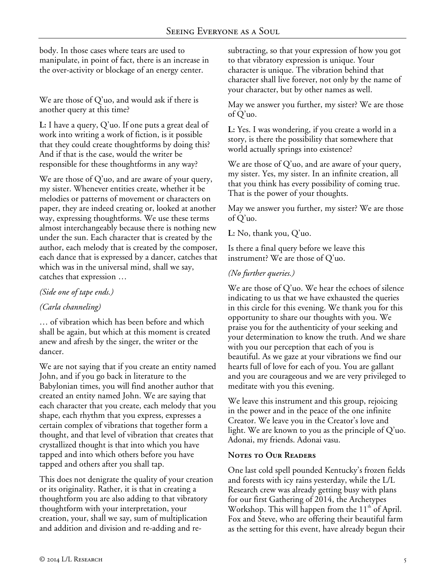body. In those cases where tears are used to manipulate, in point of fact, there is an increase in the over-activity or blockage of an energy center.

We are those of Q'uo, and would ask if there is another query at this time?

**L:** I have a query, Q'uo. If one puts a great deal of work into writing a work of fiction, is it possible that they could create thoughtforms by doing this? And if that is the case, would the writer be responsible for these thoughtforms in any way?

We are those of Q'uo, and are aware of your query, my sister. Whenever entities create, whether it be melodies or patterns of movement or characters on paper, they are indeed creating or, looked at another way, expressing thoughtforms. We use these terms almost interchangeably because there is nothing new under the sun. Each character that is created by the author, each melody that is created by the composer, each dance that is expressed by a dancer, catches that which was in the universal mind, shall we say, catches that expression …

### *(Side one of tape ends.)*

# *(Carla channeling)*

… of vibration which has been before and which shall be again, but which at this moment is created anew and afresh by the singer, the writer or the dancer.

We are not saying that if you create an entity named John, and if you go back in literature to the Babylonian times, you will find another author that created an entity named John. We are saying that each character that you create, each melody that you shape, each rhythm that you express, expresses a certain complex of vibrations that together form a thought, and that level of vibration that creates that crystallized thought is that into which you have tapped and into which others before you have tapped and others after you shall tap.

This does not denigrate the quality of your creation or its originality. Rather, it is that in creating a thoughtform you are also adding to that vibratory thoughtform with your interpretation, your creation, your, shall we say, sum of multiplication and addition and division and re-adding and resubtracting, so that your expression of how you got to that vibratory expression is unique. Your character is unique. The vibration behind that character shall live forever, not only by the name of your character, but by other names as well.

May we answer you further, my sister? We are those of Q'uo.

**L:** Yes. I was wondering, if you create a world in a story, is there the possibility that somewhere that world actually springs into existence?

We are those of  $Q'$ uo, and are aware of your query, my sister. Yes, my sister. In an infinite creation, all that you think has every possibility of coming true. That is the power of your thoughts.

May we answer you further, my sister? We are those of Q'uo.

**L:** No, thank you, Q'uo.

Is there a final query before we leave this instrument? We are those of Q'uo.

### *(No further queries.)*

We are those of Q'uo. We hear the echoes of silence indicating to us that we have exhausted the queries in this circle for this evening. We thank you for this opportunity to share our thoughts with you. We praise you for the authenticity of your seeking and your determination to know the truth. And we share with you our perception that each of you is beautiful. As we gaze at your vibrations we find our hearts full of love for each of you. You are gallant and you are courageous and we are very privileged to meditate with you this evening.

We leave this instrument and this group, rejoicing in the power and in the peace of the one infinite Creator. We leave you in the Creator's love and light. We are known to you as the principle of Q'uo. Adonai, my friends. Adonai vasu.

#### **Notes to Our Readers**

One last cold spell pounded Kentucky's frozen fields and forests with icy rains yesterday, while the L/L Research crew was already getting busy with plans for our first Gathering of 2014, the Archetypes Workshop. This will happen from the  $11<sup>th</sup>$  of April. Fox and Steve, who are offering their beautiful farm as the setting for this event, have already begun their